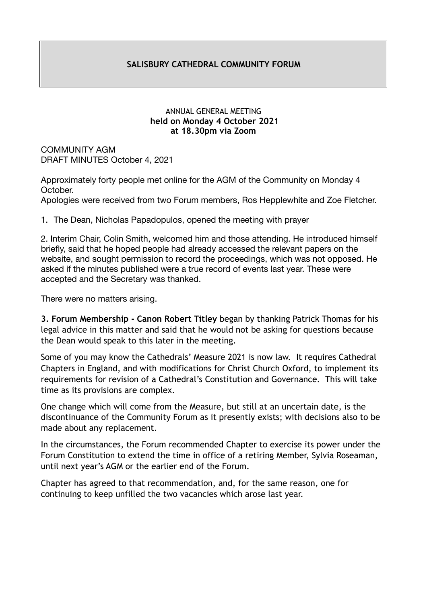### **SALISBURY CATHEDRAL COMMUNITY FORUM**

#### ANNUAL GENERAL MEETING  **held on Monday 4 October 2021 at 18.30pm via Zoom**

COMMUNITY AGM DRAFT MINUTES October 4, 2021

Approximately forty people met online for the AGM of the Community on Monday 4 October. Apologies were received from two Forum members, Ros Hepplewhite and Zoe Fletcher.

1. The Dean, Nicholas Papadopulos, opened the meeting with prayer

2. Interim Chair, Colin Smith, welcomed him and those attending. He introduced himself briefly, said that he hoped people had already accessed the relevant papers on the website, and sought permission to record the proceedings, which was not opposed. He asked if the minutes published were a true record of events last year. These were accepted and the Secretary was thanked.

There were no matters arising.

**3. Forum Membership - Canon Robert Titley** began by thanking Patrick Thomas for his legal advice in this matter and said that he would not be asking for questions because the Dean would speak to this later in the meeting.

Some of you may know the Cathedrals' Measure 2021 is now law. It requires Cathedral Chapters in England, and with modifications for Christ Church Oxford, to implement its requirements for revision of a Cathedral's Constitution and Governance. This will take time as its provisions are complex.

One change which will come from the Measure, but still at an uncertain date, is the discontinuance of the Community Forum as it presently exists; with decisions also to be made about any replacement.

In the circumstances, the Forum recommended Chapter to exercise its power under the Forum Constitution to extend the time in office of a retiring Member, Sylvia Roseaman, until next year's AGM or the earlier end of the Forum.

Chapter has agreed to that recommendation, and, for the same reason, one for continuing to keep unfilled the two vacancies which arose last year.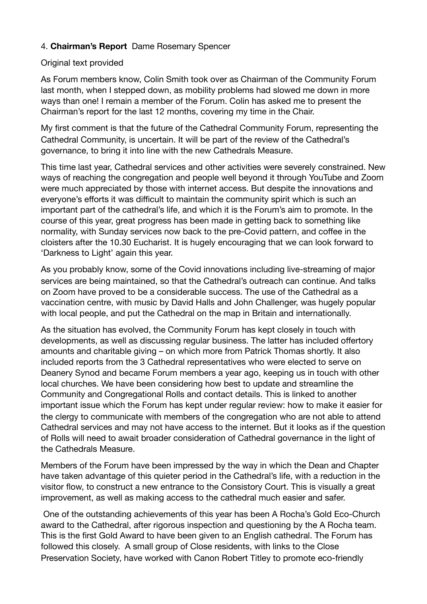## 4. **Chairman's Report** Dame Rosemary Spencer

### Original text provided

As Forum members know, Colin Smith took over as Chairman of the Community Forum last month, when I stepped down, as mobility problems had slowed me down in more ways than one! I remain a member of the Forum. Colin has asked me to present the Chairman's report for the last 12 months, covering my time in the Chair.

My first comment is that the future of the Cathedral Community Forum, representing the Cathedral Community, is uncertain. It will be part of the review of the Cathedral's governance, to bring it into line with the new Cathedrals Measure.

This time last year, Cathedral services and other activities were severely constrained. New ways of reaching the congregation and people well beyond it through YouTube and Zoom were much appreciated by those with internet access. But despite the innovations and everyone's efforts it was difficult to maintain the community spirit which is such an important part of the cathedral's life, and which it is the Forum's aim to promote. In the course of this year, great progress has been made in getting back to something like normality, with Sunday services now back to the pre-Covid pattern, and coffee in the cloisters after the 10.30 Eucharist. It is hugely encouraging that we can look forward to 'Darkness to Light' again this year.

As you probably know, some of the Covid innovations including live-streaming of major services are being maintained, so that the Cathedral's outreach can continue. And talks on Zoom have proved to be a considerable success. The use of the Cathedral as a vaccination centre, with music by David Halls and John Challenger, was hugely popular with local people, and put the Cathedral on the map in Britain and internationally.

As the situation has evolved, the Community Forum has kept closely in touch with developments, as well as discussing regular business. The latter has included offertory amounts and charitable giving – on which more from Patrick Thomas shortly. It also included reports from the 3 Cathedral representatives who were elected to serve on Deanery Synod and became Forum members a year ago, keeping us in touch with other local churches. We have been considering how best to update and streamline the Community and Congregational Rolls and contact details. This is linked to another important issue which the Forum has kept under regular review: how to make it easier for the clergy to communicate with members of the congregation who are not able to attend Cathedral services and may not have access to the internet. But it looks as if the question of Rolls will need to await broader consideration of Cathedral governance in the light of the Cathedrals Measure.

Members of the Forum have been impressed by the way in which the Dean and Chapter have taken advantage of this quieter period in the Cathedral's life, with a reduction in the visitor flow, to construct a new entrance to the Consistory Court. This is visually a great improvement, as well as making access to the cathedral much easier and safer.

 One of the outstanding achievements of this year has been A Rocha's Gold Eco-Church award to the Cathedral, after rigorous inspection and questioning by the A Rocha team. This is the first Gold Award to have been given to an English cathedral. The Forum has followed this closely. A small group of Close residents, with links to the Close Preservation Society, have worked with Canon Robert Titley to promote eco-friendly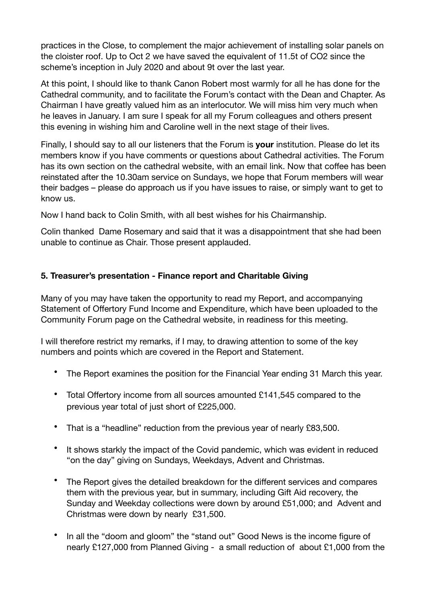practices in the Close, to complement the major achievement of installing solar panels on the cloister roof. Up to Oct 2 we have saved the equivalent of 11.5t of CO2 since the scheme's inception in July 2020 and about 9t over the last year.

At this point, I should like to thank Canon Robert most warmly for all he has done for the Cathedral community, and to facilitate the Forum's contact with the Dean and Chapter. As Chairman I have greatly valued him as an interlocutor. We will miss him very much when he leaves in January. I am sure I speak for all my Forum colleagues and others present this evening in wishing him and Caroline well in the next stage of their lives.

Finally, I should say to all our listeners that the Forum is **your** institution. Please do let its members know if you have comments or questions about Cathedral activities. The Forum has its own section on the cathedral website, with an email link. Now that coffee has been reinstated after the 10.30am service on Sundays, we hope that Forum members will wear their badges – please do approach us if you have issues to raise, or simply want to get to know us.

Now I hand back to Colin Smith, with all best wishes for his Chairmanship.

Colin thanked Dame Rosemary and said that it was a disappointment that she had been unable to continue as Chair. Those present applauded.

# **5. Treasurer's presentation - Finance report and Charitable Giving**

Many of you may have taken the opportunity to read my Report, and accompanying Statement of Offertory Fund Income and Expenditure, which have been uploaded to the Community Forum page on the Cathedral website, in readiness for this meeting.

I will therefore restrict my remarks, if I may, to drawing attention to some of the key numbers and points which are covered in the Report and Statement.

- The Report examines the position for the Financial Year ending 31 March this year.
- Total Offertory income from all sources amounted £141,545 compared to the previous year total of just short of £225,000.
- That is a "headline" reduction from the previous year of nearly £83,500.
- It shows starkly the impact of the Covid pandemic, which was evident in reduced "on the day" giving on Sundays, Weekdays, Advent and Christmas.
- The Report gives the detailed breakdown for the different services and compares them with the previous year, but in summary, including Gift Aid recovery, the Sunday and Weekday collections were down by around £51,000; and Advent and Christmas were down by nearly £31,500.
- In all the "doom and gloom" the "stand out" Good News is the income figure of nearly £127,000 from Planned Giving - a small reduction of about £1,000 from the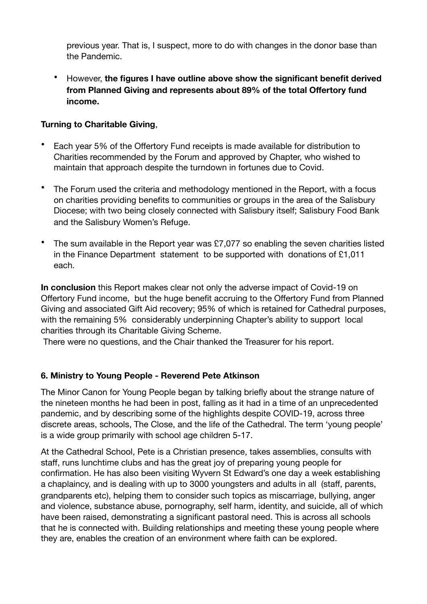previous year. That is, I suspect, more to do with changes in the donor base than the Pandemic.

• However, **the figures I have outline above show the significant benefit derived from Planned Giving and represents about 89% of the total Offertory fund income.** 

### **Turning to Charitable Giving**,

- Each year 5% of the Offertory Fund receipts is made available for distribution to Charities recommended by the Forum and approved by Chapter, who wished to maintain that approach despite the turndown in fortunes due to Covid.
- The Forum used the criteria and methodology mentioned in the Report, with a focus on charities providing benefits to communities or groups in the area of the Salisbury Diocese; with two being closely connected with Salisbury itself; Salisbury Food Bank and the Salisbury Women's Refuge.
- The sum available in the Report year was £7,077 so enabling the seven charities listed in the Finance Department statement to be supported with donations of £1,011 each.

**In conclusion** this Report makes clear not only the adverse impact of Covid-19 on Offertory Fund income, but the huge benefit accruing to the Offertory Fund from Planned Giving and associated Gift Aid recovery; 95% of which is retained for Cathedral purposes, with the remaining 5% considerably underpinning Chapter's ability to support local charities through its Charitable Giving Scheme.

There were no questions, and the Chair thanked the Treasurer for his report.

## **6. Ministry to Young People - Reverend Pete Atkinson**

The Minor Canon for Young People began by talking briefly about the strange nature of the nineteen months he had been in post, falling as it had in a time of an unprecedented pandemic, and by describing some of the highlights despite COVID-19, across three discrete areas, schools, The Close, and the life of the Cathedral. The term 'young people' is a wide group primarily with school age children 5-17.

At the Cathedral School, Pete is a Christian presence, takes assemblies, consults with staff, runs lunchtime clubs and has the great joy of preparing young people for confirmation. He has also been visiting Wyvern St Edward's one day a week establishing a chaplaincy, and is dealing with up to 3000 youngsters and adults in all (staff, parents, grandparents etc), helping them to consider such topics as miscarriage, bullying, anger and violence, substance abuse, pornography, self harm, identity, and suicide, all of which have been raised, demonstrating a significant pastoral need. This is across all schools that he is connected with. Building relationships and meeting these young people where they are, enables the creation of an environment where faith can be explored.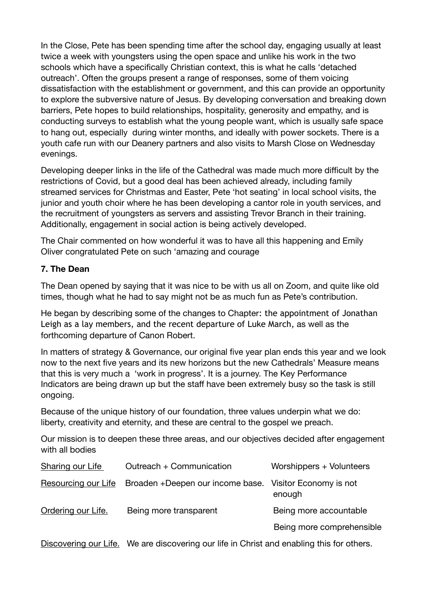In the Close, Pete has been spending time after the school day, engaging usually at least twice a week with youngsters using the open space and unlike his work in the two schools which have a specifically Christian context, this is what he calls 'detached outreach'. Often the groups present a range of responses, some of them voicing dissatisfaction with the establishment or government, and this can provide an opportunity to explore the subversive nature of Jesus. By developing conversation and breaking down barriers, Pete hopes to build relationships, hospitality, generosity and empathy, and is conducting surveys to establish what the young people want, which is usually safe space to hang out, especially during winter months, and ideally with power sockets. There is a youth cafe run with our Deanery partners and also visits to Marsh Close on Wednesday evenings.

Developing deeper links in the life of the Cathedral was made much more difficult by the restrictions of Covid, but a good deal has been achieved already, including family streamed services for Christmas and Easter, Pete 'hot seating' in local school visits, the junior and youth choir where he has been developing a cantor role in youth services, and the recruitment of youngsters as servers and assisting Trevor Branch in their training. Additionally, engagement in social action is being actively developed.

The Chair commented on how wonderful it was to have all this happening and Emily Oliver congratulated Pete on such 'amazing and courage

## **7. The Dean**

The Dean opened by saying that it was nice to be with us all on Zoom, and quite like old times, though what he had to say might not be as much fun as Pete's contribution.

He began by describing some of the changes to Chapter: the appointment of Jonathan Leigh as a lay members, and the recent departure of Luke March, as well as the forthcoming departure of Canon Robert.

In matters of strategy & Governance, our original five year plan ends this year and we look now to the next five years and its new horizons but the new Cathedrals' Measure means that this is very much a 'work in progress'. It is a journey. The Key Performance Indicators are being drawn up but the staff have been extremely busy so the task is still ongoing.

Because of the unique history of our foundation, three values underpin what we do: liberty, creativity and eternity, and these are central to the gospel we preach.

Our mission is to deepen these three areas, and our objectives decided after engagement with all bodies

| Sharing our Life           | Outreach + Communication                                | Worshippers + Volunteers  |
|----------------------------|---------------------------------------------------------|---------------------------|
| <b>Resourcing our Life</b> | Broaden +Deepen our income base. Visitor Economy is not | enough                    |
| Ordering our Life.         | Being more transparent                                  | Being more accountable    |
|                            |                                                         | Being more comprehensible |

Discovering our Life. We are discovering our life in Christ and enabling this for others.